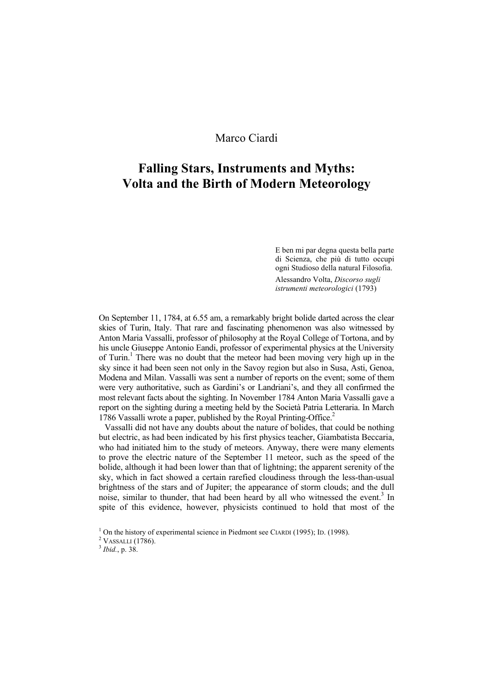## Marco Ciardi

## **Falling Stars, Instruments and Myths: Volta and the Birth of Modern Meteorology**

E ben mi par degna questa bella parte di Scienza, che più di tutto occupi ogni Studioso della natural Filosofia. Alessandro Volta, *Discorso sugli istrumenti meteorologici* (1793)

On September 11, 1784, at 6.55 am, a remarkably bright bolide darted across the clear skies of Turin, Italy. That rare and fascinating phenomenon was also witnessed by Anton Maria Vassalli, professor of philosophy at the Royal College of Tortona, and by his uncle Giuseppe Antonio Eandi, professor of experimental physics at the University of Turin.<sup>1</sup> There was no doubt that the meteor had been moving very high up in the sky since it had been seen not only in the Savoy region but also in Susa, Asti, Genoa, Modena and Milan. Vassalli was sent a number of reports on the event; some of them were very authoritative, such as Gardini's or Landriani's, and they all confirmed the most relevant facts about the sighting. In November 1784 Anton Maria Vassalli gave a report on the sighting during a meeting held by the Società Patria Letteraria. In March 1786 Vassalli wrote a paper, published by the Royal Printing-Office.<sup>2</sup>

Vassalli did not have any doubts about the nature of bolides, that could be nothing but electric, as had been indicated by his first physics teacher, Giambatista Beccaria, who had initiated him to the study of meteors. Anyway, there were many elements to prove the electric nature of the September 11 meteor, such as the speed of the bolide, although it had been lower than that of lightning; the apparent serenity of the sky, which in fact showed a certain rarefied cloudiness through the less-than-usual brightness of the stars and of Jupiter; the appearance of storm clouds; and the dull noise, similar to thunder, that had been heard by all who witnessed the event.<sup>3</sup> In spite of this evidence, however, physicists continued to hold that most of the

3 *Ibid.*, p. 38.

 $1$  On the history of experimental science in Piedmont see CIARDI (1995); ID. (1998).

 $2$  VASSALLI (1786).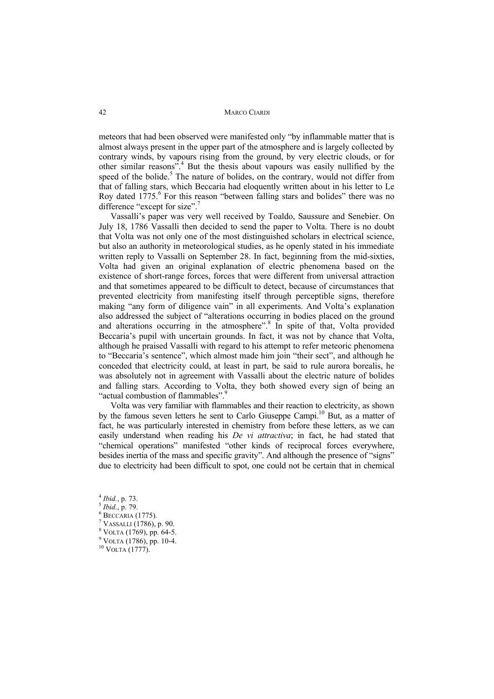meteors that had been observed were manifested only "by inflammable matter that is almost always present in the upper part of the atmosphere and is largely collected by contrary winds, by vapours rising from the ground, by very electric clouds, or for other similar reasons".<sup>4</sup> But the thesis about vapours was easily nullified by the speed of the bolide.<sup>5</sup> The nature of bolides, on the contrary, would not differ from that of falling stars, which Beccaria had eloquently written about in his letter to Le Roy dated 1775.<sup>6</sup> For this reason "between falling stars and bolides" there was no difference "except for size".<sup>7</sup>

Vassalli's paper was very well received by Toaldo, Saussure and Senebier. On July 18, 1786 Vassalli then decided to send the paper to Volta. There is no doubt that Volta was not only one of the most distinguished scholars in electrical science, but also an authority in meteorological studies, as he openly stated in his immediate written reply to Vassalli on September 28. In fact, beginning from the mid-sixties, Volta had given an original explanation of electric phenomena based on the existence of short-range forces, forces that were different from universal attraction and that sometimes appeared to be difficult to detect, because of circumstances that prevented electricity from manifesting itself through perceptible signs, therefore making "any form of diligence vain" in all experiments. And Volta's explanation also addressed the subject of "alterations occurring in bodies placed on the ground and alterations occurring in the atmosphere".<sup>8</sup> In spite of that, Volta provided Beccaria's pupil with uncertain grounds. In fact, it was not by chance that Volta, although he praised Vassalli with regard to his attempt to refer meteoric phenomena to "Beccaria's sentence", which almost made him join "their sect", and although he conceded that electricity could, at least in part, be said to rule aurora borealis, he was absolutely not in agreement with Vassalli about the electric nature of bolides and falling stars. According to Volta, they both showed every sign of being an "actual combustion of flammables".<sup>9</sup>

Volta was very familiar with flammables and their reaction to electricity, as shown by the famous seven letters he sent to Carlo Giuseppe Campi.<sup>10</sup> But, as a matter of fact, he was particularly interested in chemistry from before these letters, as we can easily understand when reading his *De vi attractiva*; in fact, he had stated that "chemical operations" manifested "other kinds of reciprocal forces everywhere, besides inertia of the mass and specific gravity". And although the presence of "signs" due to electricity had been difficult to spot, one could not be certain that in chemical

 *Ibid.*, p. 73. *Ibid.*, p. 79. BECCARIA (1775). VASSALLI (1786), p. 90. VOLTA (1769), pp. 64-5. VOLTA (1786), pp. 10-4. VOLTA (1777).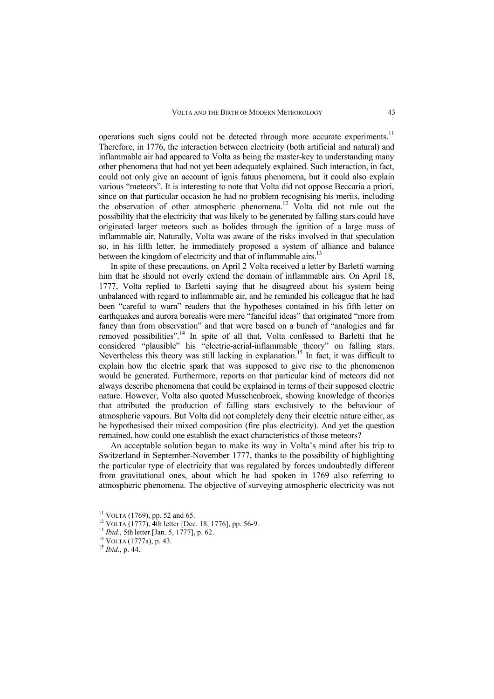operations such signs could not be detected through more accurate experiments.<sup>11</sup> Therefore, in 1776, the interaction between electricity (both artificial and natural) and inflammable air had appeared to Volta as being the master-key to understanding many other phenomena that had not yet been adequately explained. Such interaction, in fact, could not only give an account of ignis fatuus phenomena, but it could also explain various "meteors". It is interesting to note that Volta did not oppose Beccaria a priori, since on that particular occasion he had no problem recognising his merits, including the observation of other atmospheric phenomena.<sup>12</sup> Volta did not rule out the possibility that the electricity that was likely to be generated by falling stars could have originated larger meteors such as bolides through the ignition of a large mass of inflammable air. Naturally, Volta was aware of the risks involved in that speculation so, in his fifth letter, he immediately proposed a system of alliance and balance between the kingdom of electricity and that of inflammable airs.<sup>13</sup>

In spite of these precautions, on April 2 Volta received a letter by Barletti warning him that he should not overly extend the domain of inflammable airs. On April 18, 1777, Volta replied to Barletti saying that he disagreed about his system being unbalanced with regard to inflammable air, and he reminded his colleague that he had been "careful to warn" readers that the hypotheses contained in his fifth letter on earthquakes and aurora borealis were mere "fanciful ideas" that originated "more from fancy than from observation" and that were based on a bunch of "analogies and far removed possibilities".<sup>14</sup> In spite of all that, Volta confessed to Barletti that he considered "plausible" his "electric-aerial-inflammable theory" on falling stars. Nevertheless this theory was still lacking in explanation.<sup>15</sup> In fact, it was difficult to explain how the electric spark that was supposed to give rise to the phenomenon would be generated. Furthermore, reports on that particular kind of meteors did not always describe phenomena that could be explained in terms of their supposed electric nature. However, Volta also quoted Musschenbroek, showing knowledge of theories that attributed the production of falling stars exclusively to the behaviour of atmospheric vapours. But Volta did not completely deny their electric nature either, as he hypothesised their mixed composition (fire plus electricity). And yet the question remained, how could one establish the exact characteristics of those meteors?

An acceptable solution began to make its way in Volta's mind after his trip to Switzerland in September-November 1777, thanks to the possibility of highlighting the particular type of electricity that was regulated by forces undoubtedly different from gravitational ones, about which he had spoken in 1769 also referring to atmospheric phenomena. The objective of surveying atmospheric electricity was not

 $11$  VOLTA (1769), pp. 52 and 65.

<sup>&</sup>lt;sup>12</sup> VOLTA  $(1777)$ , 4th letter [Dec. 18, 1776], pp. 56-9.

<sup>13</sup> *Ibid.*, 5th letter [Jan. 5, 1777], p. 62.

<sup>14</sup> VOLTA (1777a), p. 43.

<sup>15</sup> *Ibid.*, p. 44.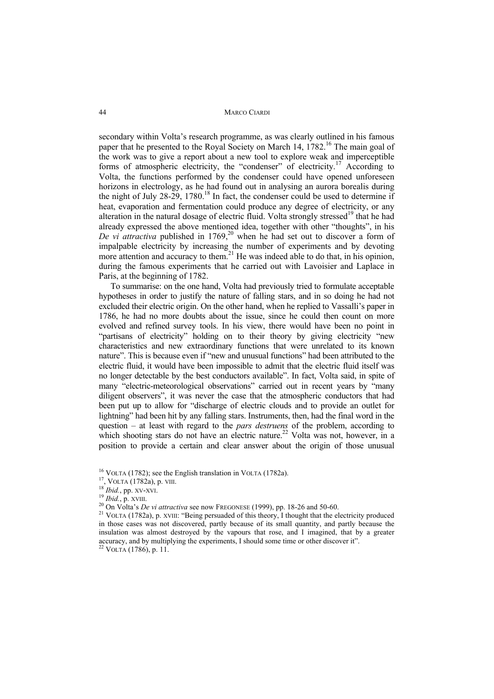secondary within Volta's research programme, as was clearly outlined in his famous paper that he presented to the Royal Society on March  $14$ ,  $1782$ <sup>16</sup>. The main goal of the work was to give a report about a new tool to explore weak and imperceptible forms of atmospheric electricity, the "condenser" of electricity.<sup>17</sup> According to Volta, the functions performed by the condenser could have opened unforeseen horizons in electrology, as he had found out in analysing an aurora borealis during the night of July 28-29, 1780.<sup>18</sup> In fact, the condenser could be used to determine if heat, evaporation and fermentation could produce any degree of electricity, or any alteration in the natural dosage of electric fluid. Volta strongly stressed<sup>19</sup> that he had already expressed the above mentioned idea, together with other "thoughts", in his *De vi attractiva* published in 1769,<sup>20</sup> when he had set out to discover a form of impalpable electricity by increasing the number of experiments and by devoting more attention and accuracy to them.<sup>21</sup> He was indeed able to do that, in his opinion, during the famous experiments that he carried out with Lavoisier and Laplace in Paris, at the beginning of 1782.

To summarise: on the one hand, Volta had previously tried to formulate acceptable hypotheses in order to justify the nature of falling stars, and in so doing he had not excluded their electric origin. On the other hand, when he replied to Vassalli's paper in 1786, he had no more doubts about the issue, since he could then count on more evolved and refined survey tools. In his view, there would have been no point in "partisans of electricity" holding on to their theory by giving electricity "new characteristics and new extraordinary functions that were unrelated to its known nature". This is because even if "new and unusual functions" had been attributed to the electric fluid, it would have been impossible to admit that the electric fluid itself was no longer detectable by the best conductors available". In fact, Volta said, in spite of many "electric-meteorological observations" carried out in recent years by "many diligent observers", it was never the case that the atmospheric conductors that had been put up to allow for "discharge of electric clouds and to provide an outlet for lightning" had been hit by any falling stars. Instruments, then, had the final word in the question – at least with regard to the *pars destruens* of the problem, according to which shooting stars do not have an electric nature.<sup>22</sup> Volta was not, however, in a position to provide a certain and clear answer about the origin of those unusual

<sup>16</sup> VOLTA (1782); see the English translation in VOLTA (1782a).

<sup>&</sup>lt;sup>17</sup>, VOLTA (1782a), p. VIII.

<sup>18</sup> *Ibid.*, pp. XV-XVI.

<sup>19</sup> *Ibid.*, p. XVIII.

<sup>&</sup>lt;sup>20</sup> On Volta's *De vi attractiva* see now FREGONESE (1999), pp. 18-26 and 50-60.

<sup>&</sup>lt;sup>21</sup> VOLTA (1782a), p. XVIII: "Being persuaded of this theory, I thought that the electricity produced in those cases was not discovered, partly because of its small quantity, and partly because the insulation was almost destroyed by the vapours that rose, and I imagined, that by a greater accuracy, and by multiplying the experiments, I should some time or other discover it".

 $22$  VOLTA (1786), p. 11.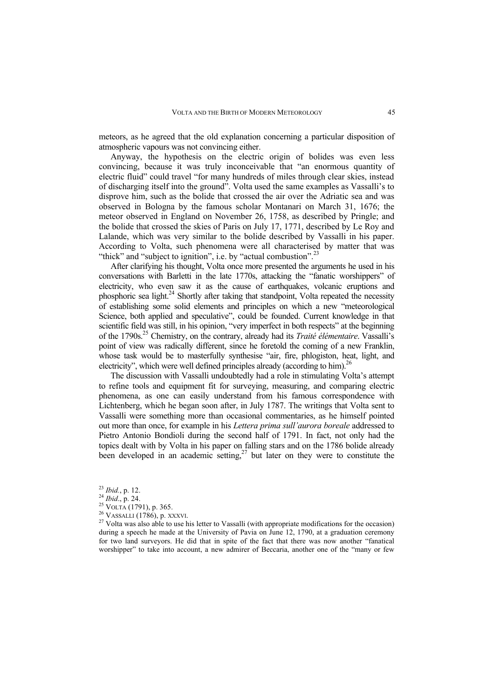meteors, as he agreed that the old explanation concerning a particular disposition of atmospheric vapours was not convincing either.

Anyway, the hypothesis on the electric origin of bolides was even less convincing, because it was truly inconceivable that "an enormous quantity of electric fluid" could travel "for many hundreds of miles through clear skies, instead of discharging itself into the ground". Volta used the same examples as Vassalli's to disprove him, such as the bolide that crossed the air over the Adriatic sea and was observed in Bologna by the famous scholar Montanari on March 31, 1676; the meteor observed in England on November 26, 1758, as described by Pringle; and the bolide that crossed the skies of Paris on July 17, 1771, described by Le Roy and Lalande, which was very similar to the bolide described by Vassalli in his paper. According to Volta, such phenomena were all characterised by matter that was "thick" and "subject to ignition", i.e. by "actual combustion".<sup>23</sup>

After clarifying his thought, Volta once more presented the arguments he used in his conversations with Barletti in the late 1770s, attacking the "fanatic worshippers" of electricity, who even saw it as the cause of earthquakes, volcanic eruptions and phosphoric sea light.<sup>24</sup> Shortly after taking that standpoint. Volta repeated the necessity of establishing some solid elements and principles on which a new "meteorological Science, both applied and speculative", could be founded. Current knowledge in that scientific field was still, in his opinion, "very imperfect in both respects" at the beginning of the 1790s.<sup>25</sup> Chemistry, on the contrary, already had its *Traité élémentaire*. Vassalli's point of view was radically different, since he foretold the coming of a new Franklin, whose task would be to masterfully synthesise "air, fire, phlogiston, heat, light, and electricity", which were well defined principles already (according to him).<sup>26</sup>

The discussion with Vassalli undoubtedly had a role in stimulating Volta's attempt to refine tools and equipment fit for surveying, measuring, and comparing electric phenomena, as one can easily understand from his famous correspondence with Lichtenberg, which he began soon after, in July 1787. The writings that Volta sent to Vassalli were something more than occasional commentaries, as he himself pointed out more than once, for example in his *Lettera prima sull'aurora boreale* addressed to Pietro Antonio Bondioli during the second half of 1791. In fact, not only had the topics dealt with by Volta in his paper on falling stars and on the 1786 bolide already been developed in an academic setting, $27$  but later on they were to constitute the

- <sup>24</sup> *Ibid*., p. 24.
- $25$  VOLTA (1791), p. 365.

<sup>26</sup> VASSALLI (1786), p. XXXVI.

<sup>27</sup> Volta was also able to use his letter to Vassalli (with appropriate modifications for the occasion) during a speech he made at the University of Pavia on June 12, 1790, at a graduation ceremony for two land surveyors. He did that in spite of the fact that there was now another "fanatical worshipper" to take into account, a new admirer of Beccaria, another one of the "many or few

<sup>23</sup> *Ibid.*, p. 12.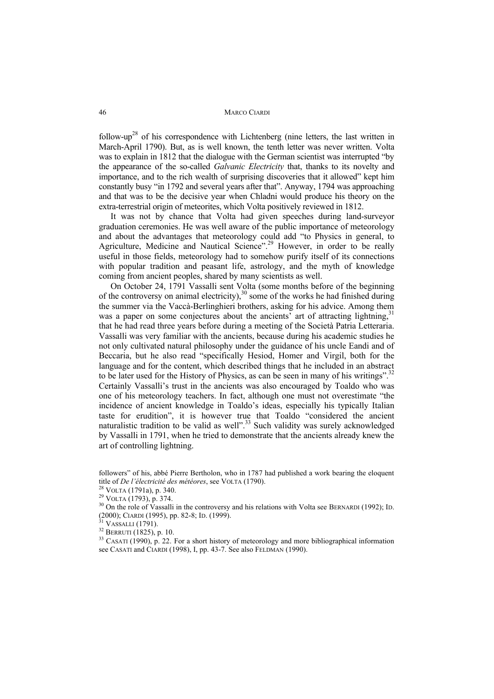follow-up<sup>28</sup> of his correspondence with Lichtenberg (nine letters, the last written in March-April 1790). But, as is well known, the tenth letter was never written. Volta was to explain in 1812 that the dialogue with the German scientist was interrupted "by the appearance of the so-called *Galvanic Electricity* that, thanks to its novelty and importance, and to the rich wealth of surprising discoveries that it allowed" kept him constantly busy "in 1792 and several years after that". Anyway, 1794 was approaching and that was to be the decisive year when Chladni would produce his theory on the extra-terrestrial origin of meteorites, which Volta positively reviewed in 1812.

It was not by chance that Volta had given speeches during land-surveyor graduation ceremonies. He was well aware of the public importance of meteorology and about the advantages that meteorology could add "to Physics in general, to Agriculture, Medicine and Nautical Science".<sup>29</sup> However, in order to be really useful in those fields, meteorology had to somehow purify itself of its connections with popular tradition and peasant life, astrology, and the myth of knowledge coming from ancient peoples, shared by many scientists as well.

On October 24, 1791 Vassalli sent Volta (some months before of the beginning of the controversy on animal electricity),  $30$  some of the works he had finished during the summer via the Vaccà-Berlinghieri brothers, asking for his advice. Among them was a paper on some conjectures about the ancients' art of attracting lightning.<sup>31</sup> that he had read three years before during a meeting of the Società Patria Letteraria. Vassalli was very familiar with the ancients, because during his academic studies he not only cultivated natural philosophy under the guidance of his uncle Eandi and of Beccaria, but he also read "specifically Hesiod, Homer and Virgil, both for the language and for the content, which described things that he included in an abstract to be later used for the History of Physics, as can be seen in many of his writings".<sup>32</sup> Certainly Vassalli's trust in the ancients was also encouraged by Toaldo who was one of his meteorology teachers. In fact, although one must not overestimate "the incidence of ancient knowledge in Toaldo's ideas, especially his typically Italian taste for erudition", it is however true that Toaldo "considered the ancient naturalistic tradition to be valid as well".<sup>33</sup> Such validity was surely acknowledged by Vassalli in 1791, when he tried to demonstrate that the ancients already knew the art of controlling lightning.

 $32$  BERRUTI (1825), p. 10.

 $33$  CASATI (1990), p. 22. For a short history of meteorology and more bibliographical information see CASATI and CIARDI (1998), I, pp. 43-7. See also FELDMAN (1990).

followers" of his, abbé Pierre Bertholon, who in 1787 had published a work bearing the eloquent title of *De l'électricité des météores*, see VOLTA (1790).

 $28$  VOLTA (1791a), p. 340.

<sup>29</sup> VOLTA (1793), p. 374.

 $30$  On the role of Vassalli in the controversy and his relations with Volta see BERNARDI (1992); ID. (2000); CIARDI (1995), pp. 82-8; ID. (1999).

 $31$  Vassalli (1791).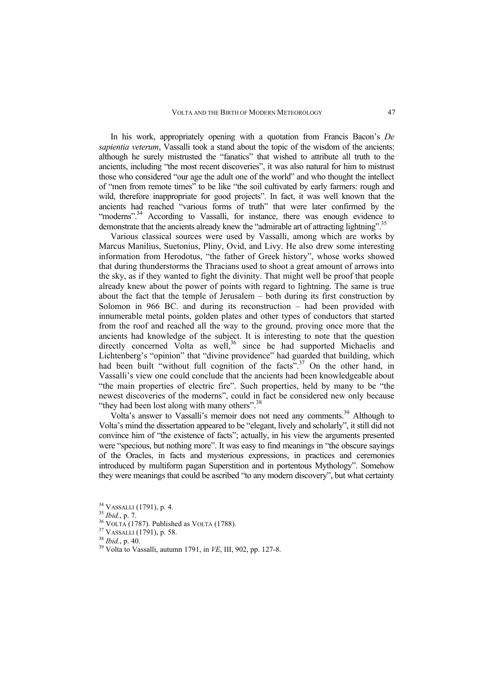In his work, appropriately opening with a quotation from Francis Bacon's *De sapientia veterum*, Vassalli took a stand about the topic of the wisdom of the ancients: although he surely mistrusted the "fanatics" that wished to attribute all truth to the ancients, including "the most recent discoveries", it was also natural for him to mistrust those who considered "our age the adult one of the world" and who thought the intellect of "men from remote times" to be like "the soil cultivated by early farmers: rough and wild, therefore inappropriate for good projects". In fact, it was well known that the ancients had reached "various forms of truth" that were later confirmed by the "moderns".<sup>34</sup> According to Vassalli, for instance, there was enough evidence to demonstrate that the ancients already knew the "admirable art of attracting lightning".<sup>35</sup>

Various classical sources were used by Vassalli, among which are works by Marcus Manilius, Suetonius, Pliny, Ovid, and Livy. He also drew some interesting information from Herodotus, "the father of Greek history", whose works showed that during thunderstorms the Thracians used to shoot a great amount of arrows into the sky, as if they wanted to fight the divinity. That might well be proof that people already knew about the power of points with regard to lightning. The same is true about the fact that the temple of Jerusalem – both during its first construction by Solomon in 966 BC. and during its reconstruction – had been provided with innumerable metal points, golden plates and other types of conductors that started from the roof and reached all the way to the ground, proving once more that the ancients had knowledge of the subject. It is interesting to note that the question directly concerned Volta as well,<sup>36</sup> since he had supported Michaelis and Lichtenberg's "opinion" that "divine providence" had guarded that building, which had been built "without full cognition of the facts".<sup>37</sup> On the other hand, in Vassalli's view one could conclude that the ancients had been knowledgeable about "the main properties of electric fire". Such properties, held by many to be "the newest discoveries of the moderns", could in fact be considered new only because "they had been lost along with many others".<sup>38</sup>

Volta's answer to Vassalli's memoir does not need any comments.<sup>39</sup> Although to Volta's mind the dissertation appeared to be "elegant, lively and scholarly", it still did not convince him of "the existence of facts"; actually, in his view the arguments presented were "specious, but nothing more". It was easy to find meanings in "the obscure sayings of the Oracles, in facts and mysterious expressions, in practices and ceremonies introduced by multiform pagan Superstition and in portentous Mythology". Somehow they were meanings that could be ascribed "to any modern discovery", but what certainty

<sup>38</sup> *Ibid.*, p. 40.

<sup>34</sup> VASSALLI (1791), p. 4.

<sup>35</sup> *Ibid.*, p. 7.

 $36$  VOLTA (1787). Published as VOLTA (1788).

<sup>37</sup> VASSALLI (1791), p. 58.

<sup>39</sup> Volta to Vassalli, autumn 1791, in *VE*, III, 902, pp. 127-8.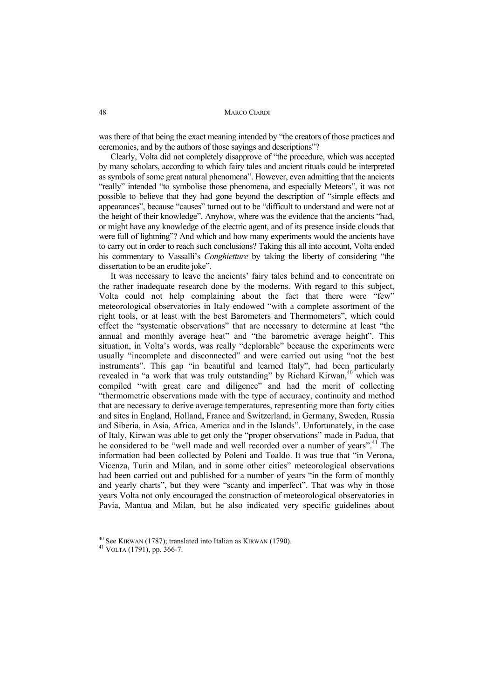was there of that being the exact meaning intended by "the creators of those practices and ceremonies, and by the authors of those sayings and descriptions"?

Clearly, Volta did not completely disapprove of "the procedure, which was accepted by many scholars, according to which fairy tales and ancient rituals could be interpreted as symbols of some great natural phenomena". However, even admitting that the ancients "really" intended "to symbolise those phenomena, and especially Meteors", it was not possible to believe that they had gone beyond the description of "simple effects and appearances", because "causes" turned out to be "difficult to understand and were not at the height of their knowledge". Anyhow, where was the evidence that the ancients "had, or might have any knowledge of the electric agent, and of its presence inside clouds that were full of lightning"? And which and how many experiments would the ancients have to carry out in order to reach such conclusions? Taking this all into account, Volta ended his commentary to Vassalli's *Conghietture* by taking the liberty of considering "the dissertation to be an erudite joke".

It was necessary to leave the ancients' fairy tales behind and to concentrate on the rather inadequate research done by the moderns. With regard to this subject, Volta could not help complaining about the fact that there were "few" meteorological observatories in Italy endowed "with a complete assortment of the right tools, or at least with the best Barometers and Thermometers", which could effect the "systematic observations" that are necessary to determine at least "the annual and monthly average heat" and "the barometric average height". This situation, in Volta's words, was really "deplorable" because the experiments were usually "incomplete and disconnected" and were carried out using "not the best instruments". This gap "in beautiful and learned Italy", had been particularly revealed in "a work that was truly outstanding" by Richard Kirwan,<sup>40</sup> which was compiled "with great care and diligence" and had the merit of collecting "thermometric observations made with the type of accuracy, continuity and method that are necessary to derive average temperatures, representing more than forty cities and sites in England, Holland, France and Switzerland, in Germany, Sweden, Russia and Siberia, in Asia, Africa, America and in the Islands". Unfortunately, in the case of Italy, Kirwan was able to get only the "proper observations" made in Padua, that he considered to be "well made and well recorded over a number of years".<sup>41</sup> The information had been collected by Poleni and Toaldo. It was true that "in Verona, Vicenza, Turin and Milan, and in some other cities" meteorological observations had been carried out and published for a number of years "in the form of monthly and yearly charts", but they were "scanty and imperfect". That was why in those years Volta not only encouraged the construction of meteorological observatories in Pavia, Mantua and Milan, but he also indicated very specific guidelines about

<sup>40</sup> See KIRWAN (1787); translated into Italian as KIRWAN (1790).

<sup>41</sup> VOLTA (1791), pp. 366-7.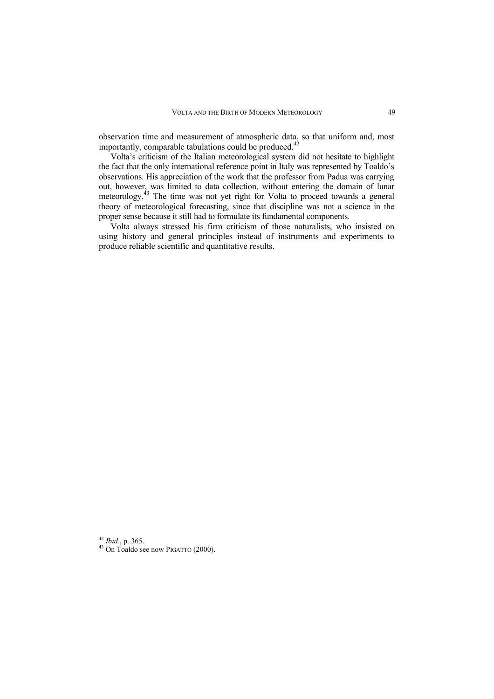observation time and measurement of atmospheric data, so that uniform and, most importantly, comparable tabulations could be produced. $42$ 

Volta's criticism of the Italian meteorological system did not hesitate to highlight the fact that the only international reference point in Italy was represented by Toaldo's observations. His appreciation of the work that the professor from Padua was carrying out, however, was limited to data collection, without entering the domain of lunar meteorology.<sup>43</sup> The time was not yet right for Volta to proceed towards a general theory of meteorological forecasting, since that discipline was not a science in the proper sense because it still had to formulate its fundamental components.

Volta always stressed his firm criticism of those naturalists, who insisted on using history and general principles instead of instruments and experiments to produce reliable scientific and quantitative results.

<sup>42</sup> *Ibid.*, p. 365.

<sup>&</sup>lt;sup>43</sup> On Toaldo see now PIGATTO (2000).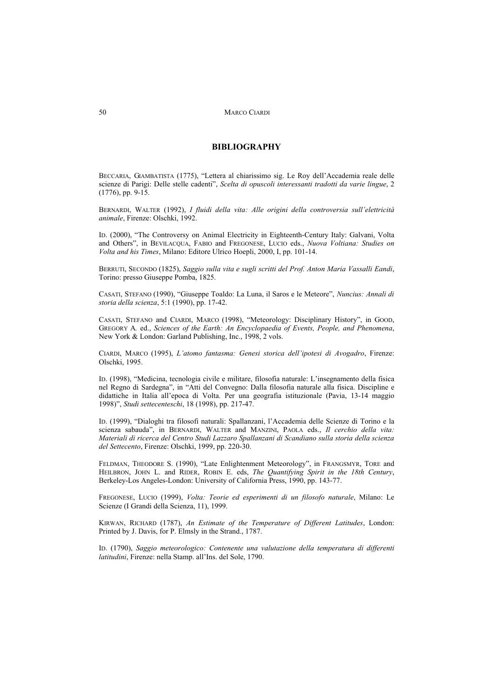## **BIBLIOGRAPHY**

BECCARIA, GIAMBATISTA (1775), "Lettera al chiarissimo sig. Le Roy dell'Accademia reale delle scienze di Parigi: Delle stelle cadenti", *Scelta di opuscoli interessanti tradotti da varie lingue*, 2 (1776), pp. 9-15.

BERNARDI, WALTER (1992), *I fluidi della vita: Alle origini della controversia sull'elettricità animale*, Firenze: Olschki, 1992.

ID. (2000), "The Controversy on Animal Electricity in Eighteenth-Century Italy: Galvani, Volta and Others", in BEVILACQUA, FABIO and FREGONESE, LUCIO eds., *Nuova Voltiana: Studies on Volta and his Times*, Milano: Editore Ulrico Hoepli, 2000, I, pp. 101-14.

BERRUTI, SECONDO (1825), *Saggio sulla vita e sugli scritti del Prof. Anton Maria Vassalli Eandi*, Torino: presso Giuseppe Pomba, 1825.

CASATI, STEFANO (1990), "Giuseppe Toaldo: La Luna, il Saros e le Meteore", *Nuncius: Annali di storia della scienza*, 5:1 (1990), pp. 17-42.

CASATI, STEFANO and CIARDI, MARCO (1998), "Meteorology: Disciplinary History", in GOOD, GREGORY A*.* ed., *Sciences of the Earth: An Encyclopaedia of Events, People, and Phenomena*, New York & London: Garland Publishing, Inc., 1998, 2 vols.

CIARDI, MARCO (1995), *L'atomo fantasma: Genesi storica dell'ipotesi di Avogadro*, Firenze: Olschki, 1995.

ID. (1998), "Medicina, tecnologia civile e militare, filosofia naturale: L'insegnamento della fisica nel Regno di Sardegna", in "Atti del Convegno: Dalla filosofia naturale alla fisica. Discipline e didattiche in Italia all'epoca di Volta. Per una geografia istituzionale (Pavia, 13-14 maggio 1998)", *Studi settecenteschi*, 18 (1998), pp. 217-47.

ID. (1999), "Dialoghi tra filosofi naturali: Spallanzani, l'Accademia delle Scienze di Torino e la scienza sabauda", in BERNARDI, WALTER and MANZINI, PAOLA eds., *Il cerchio della vita: Materiali di ricerca del Centro Studi Lazzaro Spallanzani di Scandiano sulla storia della scienza del Settecento*, Firenze: Olschki, 1999, pp. 220-30.

FELDMAN, THEODORE S. (1990), "Late Enlightenment Meteorology", in FRANGSMYR, TORE and HEILBRON, JOHN L. and RIDER, ROBIN E. eds, *The Quantifying Spirit in the 18th Century*, Berkeley-Los Angeles-London: University of California Press, 1990, pp. 143-77.

FREGONESE, LUCIO (1999), *Volta: Teorie ed esperimenti di un filosofo naturale*, Milano: Le Scienze (I Grandi della Scienza, 11), 1999.

KIRWAN, RICHARD (1787), *An Estimate of the Temperature of Different Latitudes*, London: Printed by J. Davis, for P. Elmsly in the Strand., 1787.

ID. (1790), *Saggio meteorologico: Contenente una valutazione della temperatura di differenti latitudini*, Firenze: nella Stamp. all'Ins. del Sole, 1790.